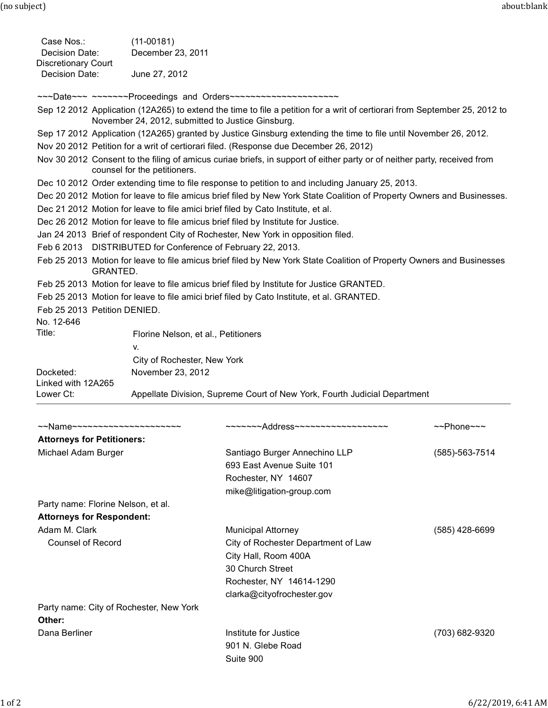(no subject) about:blank

| Case Nos.:<br>Decision Date:                                                                                                                                                    | $(11-00181)$<br>December 23, 2011                                                |                                                                                                                        |                            |  |  |  |
|---------------------------------------------------------------------------------------------------------------------------------------------------------------------------------|----------------------------------------------------------------------------------|------------------------------------------------------------------------------------------------------------------------|----------------------------|--|--|--|
| <b>Discretionary Court</b><br>Decision Date:                                                                                                                                    | June 27, 2012                                                                    |                                                                                                                        |                            |  |  |  |
|                                                                                                                                                                                 |                                                                                  | ~~~Date~~~ ~~~~~~~Proceedings and Orders~~~~~~~~~~~~~~~~~~~~~~                                                         |                            |  |  |  |
| Sep 12 2012 Application (12A265) to extend the time to file a petition for a writ of certiorari from September 25, 2012 to<br>November 24, 2012, submitted to Justice Ginsburg. |                                                                                  |                                                                                                                        |                            |  |  |  |
|                                                                                                                                                                                 |                                                                                  | Sep 17 2012 Application (12A265) granted by Justice Ginsburg extending the time to file until November 26, 2012.       |                            |  |  |  |
| Nov 20 2012 Petition for a writ of certiorari filed. (Response due December 26, 2012)                                                                                           |                                                                                  |                                                                                                                        |                            |  |  |  |
| Nov 30 2012 Consent to the filing of amicus curiae briefs, in support of either party or of neither party, received from<br>counsel for the petitioners.                        |                                                                                  |                                                                                                                        |                            |  |  |  |
| Dec 10 2012 Order extending time to file response to petition to and including January 25, 2013.                                                                                |                                                                                  |                                                                                                                        |                            |  |  |  |
|                                                                                                                                                                                 |                                                                                  | Dec 20 2012 Motion for leave to file amicus brief filed by New York State Coalition of Property Owners and Businesses. |                            |  |  |  |
|                                                                                                                                                                                 | Dec 21 2012 Motion for leave to file amici brief filed by Cato Institute, et al. |                                                                                                                        |                            |  |  |  |
|                                                                                                                                                                                 |                                                                                  | Dec 26 2012 Motion for leave to file amicus brief filed by Institute for Justice.                                      |                            |  |  |  |
|                                                                                                                                                                                 |                                                                                  | Jan 24 2013 Brief of respondent City of Rochester, New York in opposition filed.                                       |                            |  |  |  |
|                                                                                                                                                                                 | Feb 6 2013 DISTRIBUTED for Conference of February 22, 2013.                      |                                                                                                                        |                            |  |  |  |
| Feb 25 2013 Motion for leave to file amicus brief filed by New York State Coalition of Property Owners and Businesses<br>GRANTED.                                               |                                                                                  |                                                                                                                        |                            |  |  |  |
|                                                                                                                                                                                 |                                                                                  | Feb 25 2013 Motion for leave to file amicus brief filed by Institute for Justice GRANTED.                              |                            |  |  |  |
|                                                                                                                                                                                 |                                                                                  | Feb 25 2013 Motion for leave to file amici brief filed by Cato Institute, et al. GRANTED.                              |                            |  |  |  |
| Feb 25 2013 Petition DENIED.                                                                                                                                                    |                                                                                  |                                                                                                                        |                            |  |  |  |
| No. 12-646                                                                                                                                                                      |                                                                                  |                                                                                                                        |                            |  |  |  |
| Title:                                                                                                                                                                          | Florine Nelson, et al., Petitioners                                              |                                                                                                                        |                            |  |  |  |
|                                                                                                                                                                                 | ۷.                                                                               |                                                                                                                        |                            |  |  |  |
|                                                                                                                                                                                 | City of Rochester, New York                                                      |                                                                                                                        |                            |  |  |  |
| Docketed:                                                                                                                                                                       | November 23, 2012                                                                |                                                                                                                        |                            |  |  |  |
| Linked with 12A265<br>Lower Ct:                                                                                                                                                 | Appellate Division, Supreme Court of New York, Fourth Judicial Department        |                                                                                                                        |                            |  |  |  |
|                                                                                                                                                                                 |                                                                                  |                                                                                                                        |                            |  |  |  |
|                                                                                                                                                                                 |                                                                                  |                                                                                                                        |                            |  |  |  |
| ~~Name~~~~~~~~~~~~~~~~~~~~~                                                                                                                                                     |                                                                                  | ~~~~~~~Address~~~~~~~~~~~~~~~~~~                                                                                       | $\sim$ Phone $\sim$ $\sim$ |  |  |  |
| <b>Attorneys for Petitioners:</b>                                                                                                                                               |                                                                                  |                                                                                                                        |                            |  |  |  |
| Michael Adam Burger                                                                                                                                                             |                                                                                  | Santiago Burger Annechino LLP                                                                                          | $(585) - 563 - 7514$       |  |  |  |
|                                                                                                                                                                                 |                                                                                  | 693 East Avenue Suite 101                                                                                              |                            |  |  |  |
|                                                                                                                                                                                 |                                                                                  | Rochester, NY 14607                                                                                                    |                            |  |  |  |
|                                                                                                                                                                                 |                                                                                  | mike@litigation-group.com                                                                                              |                            |  |  |  |
| Party name: Florine Nelson, et al.                                                                                                                                              |                                                                                  |                                                                                                                        |                            |  |  |  |
| <b>Attorneys for Respondent:</b>                                                                                                                                                |                                                                                  |                                                                                                                        |                            |  |  |  |
| Adam M. Clark                                                                                                                                                                   |                                                                                  | <b>Municipal Attorney</b>                                                                                              | $(585)$ 428-6699           |  |  |  |
| <b>Counsel of Record</b>                                                                                                                                                        |                                                                                  | City of Rochester Department of Law                                                                                    |                            |  |  |  |
|                                                                                                                                                                                 |                                                                                  | City Hall, Room 400A                                                                                                   |                            |  |  |  |
|                                                                                                                                                                                 |                                                                                  | 30 Church Street                                                                                                       |                            |  |  |  |
|                                                                                                                                                                                 |                                                                                  | Rochester, NY 14614-1290                                                                                               |                            |  |  |  |
|                                                                                                                                                                                 |                                                                                  | clarka@cityofrochester.gov                                                                                             |                            |  |  |  |
| Party name: City of Rochester, New York                                                                                                                                         |                                                                                  |                                                                                                                        |                            |  |  |  |
| Other:                                                                                                                                                                          |                                                                                  |                                                                                                                        |                            |  |  |  |
| Dana Berliner                                                                                                                                                                   |                                                                                  | Institute for Justice                                                                                                  | (703) 682-9320             |  |  |  |
|                                                                                                                                                                                 |                                                                                  | 901 N. Glebe Road                                                                                                      |                            |  |  |  |
|                                                                                                                                                                                 |                                                                                  | Suite 900                                                                                                              |                            |  |  |  |
|                                                                                                                                                                                 |                                                                                  |                                                                                                                        |                            |  |  |  |